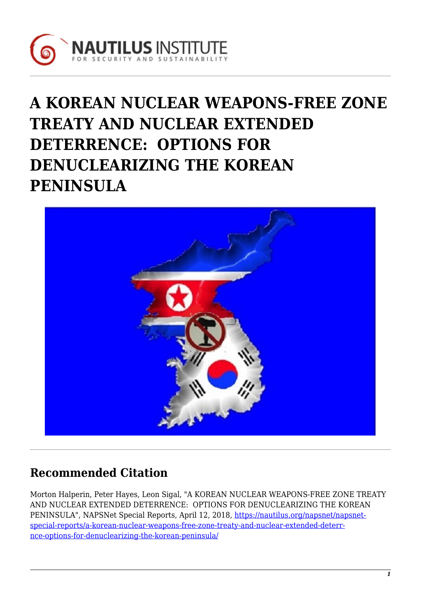

# **A KOREAN NUCLEAR WEAPONS-FREE ZONE TREATY AND NUCLEAR EXTENDED DETERRENCE: OPTIONS FOR DENUCLEARIZING THE KOREAN PENINSULA**



# **Recommended Citation**

Morton Halperin, Peter Hayes, Leon Sigal, "A KOREAN NUCLEAR WEAPONS-FREE ZONE TREATY AND NUCLEAR EXTENDED DETERRENCE: OPTIONS FOR DENUCLEARIZING THE KOREAN PENINSULA", NAPSNet Special Reports, April 12, 2018, [https://nautilus.org/napsnet/napsnet](https://nautilus.org/napsnet/napsnet-special-reports/a-korean-nuclear-weapons-free-zone-treaty-and-nuclear-extended-deterrence-options-for-denuclearizing-the-korean-peninsula/)[special-reports/a-korean-nuclear-weapons-free-zone-treaty-and-nuclear-extended-deterr](https://nautilus.org/napsnet/napsnet-special-reports/a-korean-nuclear-weapons-free-zone-treaty-and-nuclear-extended-deterrence-options-for-denuclearizing-the-korean-peninsula/)[nce-options-for-denuclearizing-the-korean-peninsula/](https://nautilus.org/napsnet/napsnet-special-reports/a-korean-nuclear-weapons-free-zone-treaty-and-nuclear-extended-deterrence-options-for-denuclearizing-the-korean-peninsula/)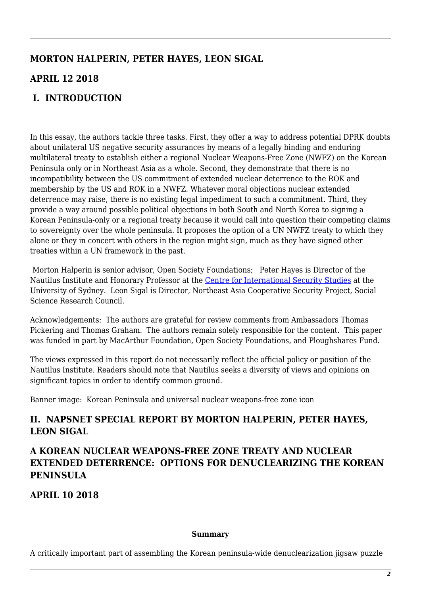# **MORTON HALPERIN, PETER HAYES, LEON SIGAL**

## **APRIL 12 2018**

# **I. INTRODUCTION**

In this essay, the authors tackle three tasks. First, they offer a way to address potential DPRK doubts about unilateral US negative security assurances by means of a legally binding and enduring multilateral treaty to establish either a regional Nuclear Weapons-Free Zone (NWFZ) on the Korean Peninsula only or in Northeast Asia as a whole. Second, they demonstrate that there is no incompatibility between the US commitment of extended nuclear deterrence to the ROK and membership by the US and ROK in a NWFZ. Whatever moral objections nuclear extended deterrence may raise, there is no existing legal impediment to such a commitment. Third, they provide a way around possible political objections in both South and North Korea to signing a Korean Peninsula-only or a regional treaty because it would call into question their competing claims to sovereignty over the whole peninsula. It proposes the option of a UN NWFZ treaty to which they alone or they in concert with others in the region might sign, much as they have signed other treaties within a UN framework in the past.

Morton Halperin is senior advisor, Open Society Foundations; Peter Hayes is Director of the Nautilus Institute and Honorary Professor at the [Centre for International Security Studies](http://sydney.edu.au/arts/ciss/) at the University of Sydney. Leon Sigal is Director, Northeast Asia Cooperative Security Project, Social Science Research Council.

Acknowledgements: The authors are grateful for review comments from Ambassadors Thomas Pickering and Thomas Graham. The authors remain solely responsible for the content. This paper was funded in part by MacArthur Foundation, Open Society Foundations, and Ploughshares Fund.

The views expressed in this report do not necessarily reflect the official policy or position of the Nautilus Institute. Readers should note that Nautilus seeks a diversity of views and opinions on significant topics in order to identify common ground.

Banner image: Korean Peninsula and universal nuclear weapons-free zone icon

## **II. NAPSNET SPECIAL REPORT BY MORTON HALPERIN, PETER HAYES, LEON SIGAL**

## **A KOREAN NUCLEAR WEAPONS-FREE ZONE TREATY AND NUCLEAR EXTENDED DETERRENCE: OPTIONS FOR DENUCLEARIZING THE KOREAN PENINSULA**

**APRIL 10 2018**

#### **Summary**

A critically important part of assembling the Korean peninsula-wide denuclearization jigsaw puzzle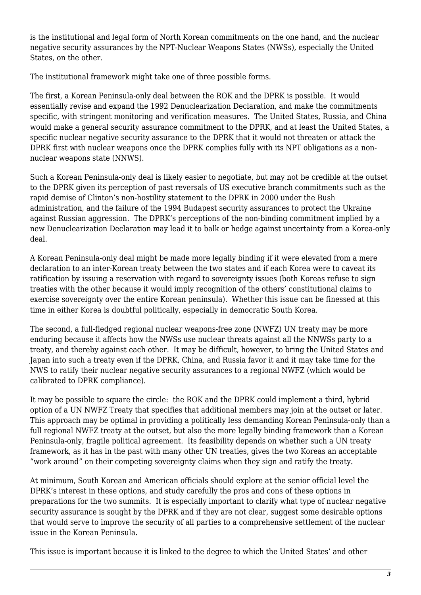is the institutional and legal form of North Korean commitments on the one hand, and the nuclear negative security assurances by the NPT-Nuclear Weapons States (NWSs), especially the United States, on the other.

The institutional framework might take one of three possible forms.

The first, a Korean Peninsula-only deal between the ROK and the DPRK is possible. It would essentially revise and expand the 1992 Denuclearization Declaration, and make the commitments specific, with stringent monitoring and verification measures. The United States, Russia, and China would make a general security assurance commitment to the DPRK, and at least the United States, a specific nuclear negative security assurance to the DPRK that it would not threaten or attack the DPRK first with nuclear weapons once the DPRK complies fully with its NPT obligations as a nonnuclear weapons state (NNWS).

Such a Korean Peninsula-only deal is likely easier to negotiate, but may not be credible at the outset to the DPRK given its perception of past reversals of US executive branch commitments such as the rapid demise of Clinton's non-hostility statement to the DPRK in 2000 under the Bush administration, and the failure of the 1994 Budapest security assurances to protect the Ukraine against Russian aggression. The DPRK's perceptions of the non-binding commitment implied by a new Denuclearization Declaration may lead it to balk or hedge against uncertainty from a Korea-only deal.

A Korean Peninsula-only deal might be made more legally binding if it were elevated from a mere declaration to an inter-Korean treaty between the two states and if each Korea were to caveat its ratification by issuing a reservation with regard to sovereignty issues (both Koreas refuse to sign treaties with the other because it would imply recognition of the others' constitutional claims to exercise sovereignty over the entire Korean peninsula). Whether this issue can be finessed at this time in either Korea is doubtful politically, especially in democratic South Korea.

The second, a full-fledged regional nuclear weapons-free zone (NWFZ) UN treaty may be more enduring because it affects how the NWSs use nuclear threats against all the NNWSs party to a treaty, and thereby against each other. It may be difficult, however, to bring the United States and Japan into such a treaty even if the DPRK, China, and Russia favor it and it may take time for the NWS to ratify their nuclear negative security assurances to a regional NWFZ (which would be calibrated to DPRK compliance).

It may be possible to square the circle: the ROK and the DPRK could implement a third, hybrid option of a UN NWFZ Treaty that specifies that additional members may join at the outset or later. This approach may be optimal in providing a politically less demanding Korean Peninsula-only than a full regional NWFZ treaty at the outset, but also the more legally binding framework than a Korean Peninsula-only, fragile political agreement. Its feasibility depends on whether such a UN treaty framework, as it has in the past with many other UN treaties, gives the two Koreas an acceptable "work around" on their competing sovereignty claims when they sign and ratify the treaty.

At minimum, South Korean and American officials should explore at the senior official level the DPRK's interest in these options, and study carefully the pros and cons of these options in preparations for the two summits. It is especially important to clarify what type of nuclear negative security assurance is sought by the DPRK and if they are not clear, suggest some desirable options that would serve to improve the security of all parties to a comprehensive settlement of the nuclear issue in the Korean Peninsula.

This issue is important because it is linked to the degree to which the United States' and other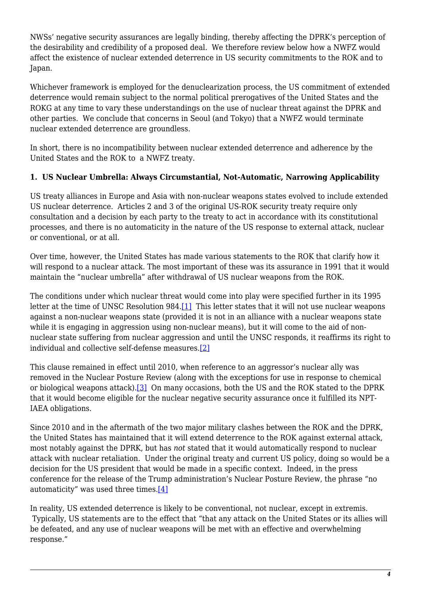NWSs' negative security assurances are legally binding, thereby affecting the DPRK's perception of the desirability and credibility of a proposed deal. We therefore review below how a NWFZ would affect the existence of nuclear extended deterrence in US security commitments to the ROK and to Japan.

Whichever framework is employed for the denuclearization process, the US commitment of extended deterrence would remain subject to the normal political prerogatives of the United States and the ROKG at any time to vary these understandings on the use of nuclear threat against the DPRK and other parties. We conclude that concerns in Seoul (and Tokyo) that a NWFZ would terminate nuclear extended deterrence are groundless.

In short, there is no incompatibility between nuclear extended deterrence and adherence by the United States and the ROK to a NWFZ treaty.

#### **1. US Nuclear Umbrella: Always Circumstantial, Not-Automatic, Narrowing Applicability**

US treaty alliances in Europe and Asia with non-nuclear weapons states evolved to include extended US nuclear deterrence. Articles 2 and 3 of the original US-ROK security treaty require only consultation and a decision by each party to the treaty to act in accordance with its constitutional processes, and there is no automaticity in the nature of the US response to external attack, nuclear or conventional, or at all.

Over time, however, the United States has made various statements to the ROK that clarify how it will respond to a nuclear attack. The most important of these was its assurance in 1991 that it would maintain the "nuclear umbrella" after withdrawal of US nuclear weapons from the ROK.

<span id="page-3-0"></span>The conditions under which nuclear threat would come into play were specified further in its 1995 letter at the time of UNSC Resolution 984.[\[1\]](#page-7-0) This letter states that it will not use nuclear weapons against a non-nuclear weapons state (provided it is not in an alliance with a nuclear weapons state while it is engaging in aggression using non-nuclear means), but it will come to the aid of nonnuclear state suffering from nuclear aggression and until the UNSC responds, it reaffirms its right to individual and collective self-defense measures.[\[2\]](#page-7-1)

<span id="page-3-2"></span><span id="page-3-1"></span>This clause remained in effect until 2010, when reference to an aggressor's nuclear ally was removed in the Nuclear Posture Review (along with the exceptions for use in response to chemical or biological weapons attack).[\[3\]](#page-7-2) On many occasions, both the US and the ROK stated to the DPRK that it would become eligible for the nuclear negative security assurance once it fulfilled its NPT-IAEA obligations.

Since 2010 and in the aftermath of the two major military clashes between the ROK and the DPRK, the United States has maintained that it will extend deterrence to the ROK against external attack, most notably against the DPRK, but has *not* stated that it would automatically respond to nuclear attack with nuclear retaliation. Under the original treaty and current US policy, doing so would be a decision for the US president that would be made in a specific context. Indeed, in the press conference for the release of the Trump administration's Nuclear Posture Review, the phrase "no automaticity" was used three times.[\[4\]](#page-7-3)

<span id="page-3-3"></span>In reality, US extended deterrence is likely to be conventional, not nuclear, except in extremis. Typically, US statements are to the effect that "that any attack on the United States or its allies will be defeated, and any use of nuclear weapons will be met with an effective and overwhelming response."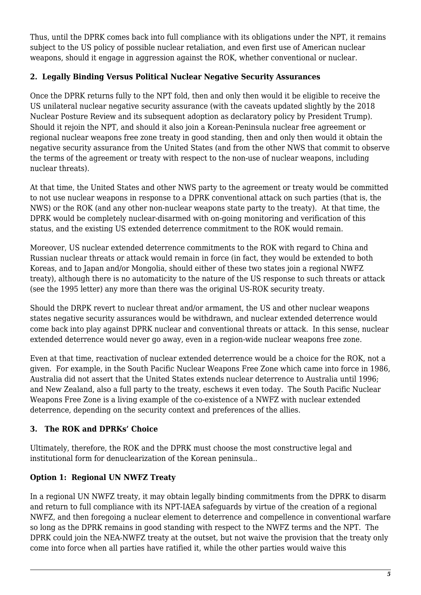Thus, until the DPRK comes back into full compliance with its obligations under the NPT, it remains subject to the US policy of possible nuclear retaliation, and even first use of American nuclear weapons, should it engage in aggression against the ROK, whether conventional or nuclear.

#### **2. Legally Binding Versus Political Nuclear Negative Security Assurances**

Once the DPRK returns fully to the NPT fold, then and only then would it be eligible to receive the US unilateral nuclear negative security assurance (with the caveats updated slightly by the 2018 Nuclear Posture Review and its subsequent adoption as declaratory policy by President Trump). Should it rejoin the NPT, and should it also join a Korean-Peninsula nuclear free agreement or regional nuclear weapons free zone treaty in good standing, then and only then would it obtain the negative security assurance from the United States (and from the other NWS that commit to observe the terms of the agreement or treaty with respect to the non-use of nuclear weapons, including nuclear threats).

At that time, the United States and other NWS party to the agreement or treaty would be committed to not use nuclear weapons in response to a DPRK conventional attack on such parties (that is, the NWS) or the ROK (and any other non-nuclear weapons state party to the treaty). At that time, the DPRK would be completely nuclear-disarmed with on-going monitoring and verification of this status, and the existing US extended deterrence commitment to the ROK would remain.

Moreover, US nuclear extended deterrence commitments to the ROK with regard to China and Russian nuclear threats or attack would remain in force (in fact, they would be extended to both Koreas, and to Japan and/or Mongolia, should either of these two states join a regional NWFZ treaty), although there is no automaticity to the nature of the US response to such threats or attack (see the 1995 letter) any more than there was the original US-ROK security treaty.

Should the DRPK revert to nuclear threat and/or armament, the US and other nuclear weapons states negative security assurances would be withdrawn, and nuclear extended deterrence would come back into play against DPRK nuclear and conventional threats or attack. In this sense, nuclear extended deterrence would never go away, even in a region-wide nuclear weapons free zone.

Even at that time, reactivation of nuclear extended deterrence would be a choice for the ROK, not a given. For example, in the South Pacific Nuclear Weapons Free Zone which came into force in 1986, Australia did not assert that the United States extends nuclear deterrence to Australia until 1996; and New Zealand, also a full party to the treaty, eschews it even today. The South Pacific Nuclear Weapons Free Zone is a living example of the co-existence of a NWFZ with nuclear extended deterrence, depending on the security context and preferences of the allies.

### **3. The ROK and DPRKs' Choice**

Ultimately, therefore, the ROK and the DPRK must choose the most constructive legal and institutional form for denuclearization of the Korean peninsula..

#### **Option 1: Regional UN NWFZ Treaty**

<span id="page-4-0"></span>In a regional UN NWFZ treaty, it may obtain legally binding commitments from the DPRK to disarm and return to full compliance with its NPT-IAEA safeguards by virtue of the creation of a regional NWFZ, and then foregoing a nuclear element to deterrence and compellence in conventional warfare so long as the DPRK remains in good standing with respect to the NWFZ terms and the NPT. The DPRK could join the NEA-NWFZ treaty at the outset, but not waive the provision that the treaty only come into force when all parties have ratified it, while the other parties would waive this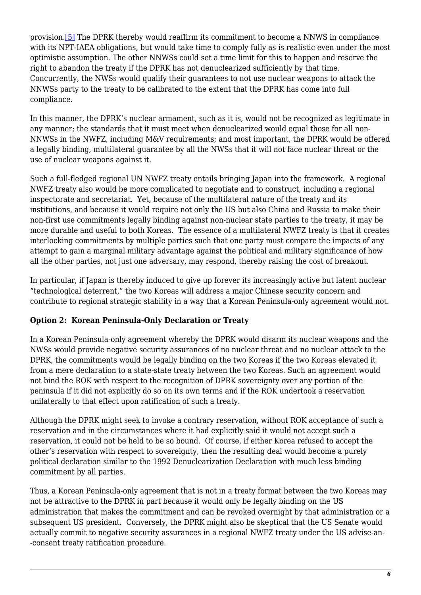provision[.\[5\]](#page-7-4) The DPRK thereby would reaffirm its commitment to become a NNWS in compliance with its NPT-IAEA obligations, but would take time to comply fully as is realistic even under the most optimistic assumption. The other NNWSs could set a time limit for this to happen and reserve the right to abandon the treaty if the DPRK has not denuclearized sufficiently by that time. Concurrently, the NWSs would qualify their guarantees to not use nuclear weapons to attack the NNWSs party to the treaty to be calibrated to the extent that the DPRK has come into full compliance.

In this manner, the DPRK's nuclear armament, such as it is, would not be recognized as legitimate in any manner; the standards that it must meet when denuclearized would equal those for all non-NNWSs in the NWFZ, including M&V requirements; and most important, the DPRK would be offered a legally binding, multilateral guarantee by all the NWSs that it will not face nuclear threat or the use of nuclear weapons against it.

Such a full-fledged regional UN NWFZ treaty entails bringing Japan into the framework. A regional NWFZ treaty also would be more complicated to negotiate and to construct, including a regional inspectorate and secretariat. Yet, because of the multilateral nature of the treaty and its institutions, and because it would require not only the US but also China and Russia to make their non-first use commitments legally binding against non-nuclear state parties to the treaty, it may be more durable and useful to both Koreas. The essence of a multilateral NWFZ treaty is that it creates interlocking commitments by multiple parties such that one party must compare the impacts of any attempt to gain a marginal military advantage against the political and military significance of how all the other parties, not just one adversary, may respond, thereby raising the cost of breakout.

In particular, if Japan is thereby induced to give up forever its increasingly active but latent nuclear "technological deterrent," the two Koreas will address a major Chinese security concern and contribute to regional strategic stability in a way that a Korean Peninsula-only agreement would not.

#### **Option 2: Korean Peninsula-Only Declaration or Treaty**

In a Korean Peninsula-only agreement whereby the DPRK would disarm its nuclear weapons and the NWSs would provide negative security assurances of no nuclear threat and no nuclear attack to the DPRK, the commitments would be legally binding on the two Koreas if the two Koreas elevated it from a mere declaration to a state-state treaty between the two Koreas. Such an agreement would not bind the ROK with respect to the recognition of DPRK sovereignty over any portion of the peninsula if it did not explicitly do so on its own terms and if the ROK undertook a reservation unilaterally to that effect upon ratification of such a treaty.

Although the DPRK might seek to invoke a contrary reservation, without ROK acceptance of such a reservation and in the circumstances where it had explicitly said it would not accept such a reservation, it could not be held to be so bound. Of course, if either Korea refused to accept the other's reservation with respect to sovereignty, then the resulting deal would become a purely political declaration similar to the 1992 Denuclearization Declaration with much less binding commitment by all parties.

Thus, a Korean Peninsula-only agreement that is not in a treaty format between the two Koreas may not be attractive to the DPRK in part because it would only be legally binding on the US administration that makes the commitment and can be revoked overnight by that administration or a subsequent US president. Conversely, the DPRK might also be skeptical that the US Senate would actually commit to negative security assurances in a regional NWFZ treaty under the US advise-an- -consent treaty ratification procedure.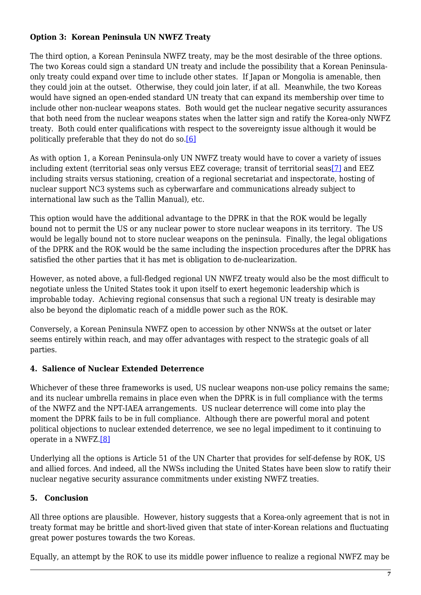#### **Option 3: Korean Peninsula UN NWFZ Treaty**

The third option, a Korean Peninsula NWFZ treaty, may be the most desirable of the three options. The two Koreas could sign a standard UN treaty and include the possibility that a Korean Peninsulaonly treaty could expand over time to include other states. If Japan or Mongolia is amenable, then they could join at the outset. Otherwise, they could join later, if at all. Meanwhile, the two Koreas would have signed an open-ended standard UN treaty that can expand its membership over time to include other non-nuclear weapons states. Both would get the nuclear negative security assurances that both need from the nuclear weapons states when the latter sign and ratify the Korea-only NWFZ treaty. Both could enter qualifications with respect to the sovereignty issue although it would be politically preferable that they do not do so[.\[6\]](#page-8-0)

<span id="page-6-1"></span><span id="page-6-0"></span>As with option 1, a Korean Peninsula-only UN NWFZ treaty would have to cover a variety of issues including extent (territorial seas only versus EEZ coverage; transit of territorial seas[\[7\]](#page-8-1) and EEZ including straits versus stationing, creation of a regional secretariat and inspectorate, hosting of nuclear support NC3 systems such as cyberwarfare and communications already subject to international law such as the Tallin Manual), etc.

This option would have the additional advantage to the DPRK in that the ROK would be legally bound not to permit the US or any nuclear power to store nuclear weapons in its territory. The US would be legally bound not to store nuclear weapons on the peninsula. Finally, the legal obligations of the DPRK and the ROK would be the same including the inspection procedures after the DPRK has satisfied the other parties that it has met is obligation to de-nuclearization.

However, as noted above, a full-fledged regional UN NWFZ treaty would also be the most difficult to negotiate unless the United States took it upon itself to exert hegemonic leadership which is improbable today. Achieving regional consensus that such a regional UN treaty is desirable may also be beyond the diplomatic reach of a middle power such as the ROK.

Conversely, a Korean Peninsula NWFZ open to accession by other NNWSs at the outset or later seems entirely within reach, and may offer advantages with respect to the strategic goals of all parties.

#### **4. Salience of Nuclear Extended Deterrence**

Whichever of these three frameworks is used, US nuclear weapons non-use policy remains the same; and its nuclear umbrella remains in place even when the DPRK is in full compliance with the terms of the NWFZ and the NPT-IAEA arrangements. US nuclear deterrence will come into play the moment the DPRK fails to be in full compliance. Although there are powerful moral and potent political objections to nuclear extended deterrence, we see no legal impediment to it continuing to operate in a NWFZ.[\[8\]](#page-8-2)

<span id="page-6-2"></span>Underlying all the options is Article 51 of the UN Charter that provides for self-defense by ROK, US and allied forces. And indeed, all the NWSs including the United States have been slow to ratify their nuclear negative security assurance commitments under existing NWFZ treaties.

#### **5. Conclusion**

All three options are plausible. However, history suggests that a Korea-only agreement that is not in treaty format may be brittle and short-lived given that state of inter-Korean relations and fluctuating great power postures towards the two Koreas.

Equally, an attempt by the ROK to use its middle power influence to realize a regional NWFZ may be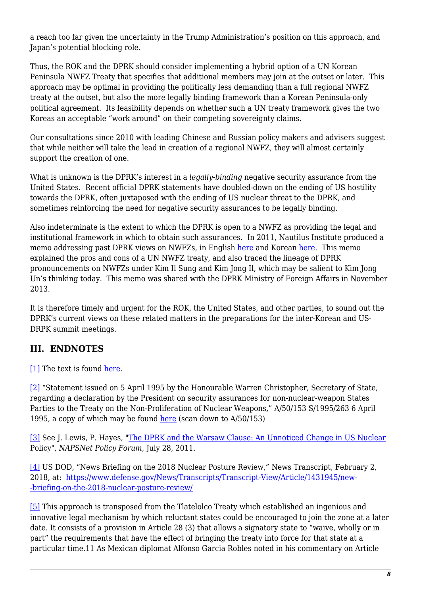a reach too far given the uncertainty in the Trump Administration's position on this approach, and Japan's potential blocking role.

Thus, the ROK and the DPRK should consider implementing a hybrid option of a UN Korean Peninsula NWFZ Treaty that specifies that additional members may join at the outset or later. This approach may be optimal in providing the politically less demanding than a full regional NWFZ treaty at the outset, but also the more legally binding framework than a Korean Peninsula-only political agreement. Its feasibility depends on whether such a UN treaty framework gives the two Koreas an acceptable "work around" on their competing sovereignty claims.

Our consultations since 2010 with leading Chinese and Russian policy makers and advisers suggest that while neither will take the lead in creation of a regional NWFZ, they will almost certainly support the creation of one.

What is unknown is the DPRK's interest in a *legally-binding* negative security assurance from the United States. Recent official DPRK statements have doubled-down on the ending of US hostility towards the DPRK, often juxtaposed with the ending of US nuclear threat to the DPRK, and sometimes reinforcing the need for negative security assurances to be legally binding.

Also indeterminate is the extent to which the DPRK is open to a NWFZ as providing the legal and institutional framework in which to obtain such assurances. In 2011, Nautilus Institute produced a memo addressing past DPRK views on NWFZs, in English [here](https://nautilus.org/wp-content/uploads/2018/04/Implications-of-CSS-for-DPRK-English-Dec2-2013-1.pdf) and Korean [here.](https://nautilus.org/wp-content/uploads/2018/04/Implications-of-CSS-for-DPRK-Korean-Dec2-2013.pdf) This memo explained the pros and cons of a UN NWFZ treaty, and also traced the lineage of DPRK pronouncements on NWFZs under Kim Il Sung and Kim Jong Il, which may be salient to Kim Jong Un's thinking today. This memo was shared with the DPRK Ministry of Foreign Affairs in November 2013.

It is therefore timely and urgent for the ROK, the United States, and other parties, to sound out the DPRK's current views on these related matters in the preparations for the inter-Korean and US-DRPK summit meetings.

# **III. ENDNOTES**

<span id="page-7-0"></span>[\[1\]](#page-3-0) The text is found [here](http://repository.un.org/handle/11176/42440).

<span id="page-7-1"></span>[\[2\]](#page-3-1) "Statement issued on 5 April 1995 by the Honourable Warren Christopher, Secretary of State, regarding a declaration by the President on security assurances for non-nuclear-weapon States Parties to the Treaty on the Non-Proliferation of Nuclear Weapons," A/50/153 S/1995/263 6 April 1995, a copy of which may be found [here](https://www.un.org/disarmament/publications/library/50-ga-ga-sc/) (scan down to  $A/50/153$ )

<span id="page-7-2"></span>[\[3\]](#page-3-2) See J. Lewis, P. Hayes, "[The DPRK and the Warsaw Clause: An Unnoticed Change in US Nuclear](https://nautilus.org/napsnet/napsnet-policy-forum/the-dprk-and-the-warsaw-clause-an-unnoticed-change-in-us-nuclear-policy/) Policy", *NAPSNet Policy Forum*, July 28, 2011.

<span id="page-7-3"></span>[\[4\]](#page-3-3) US DOD, "News Briefing on the 2018 Nuclear Posture Review," News Transcript, February 2, 2018, at: [https://www.defense.gov/News/Transcripts/Transcript-View/Article/1431945/new-](https://www.defense.gov/News/Transcripts/Transcript-View/Article/1431945/news-briefing-on-the-2018-nuclear-posture-review/) [-briefing-on-the-2018-nuclear-posture-review/](https://www.defense.gov/News/Transcripts/Transcript-View/Article/1431945/news-briefing-on-the-2018-nuclear-posture-review/)

<span id="page-7-4"></span>[\[5\]](#page-4-0) This approach is transposed from the Tlatelolco Treaty which established an ingenious and innovative legal mechanism by which reluctant states could be encouraged to join the zone at a later date. It consists of a provision in Article 28 (3) that allows a signatory state to "waive, wholly or in part" the requirements that have the effect of bringing the treaty into force for that state at a particular time.11 As Mexican diplomat Alfonso Garcia Robles noted in his commentary on Article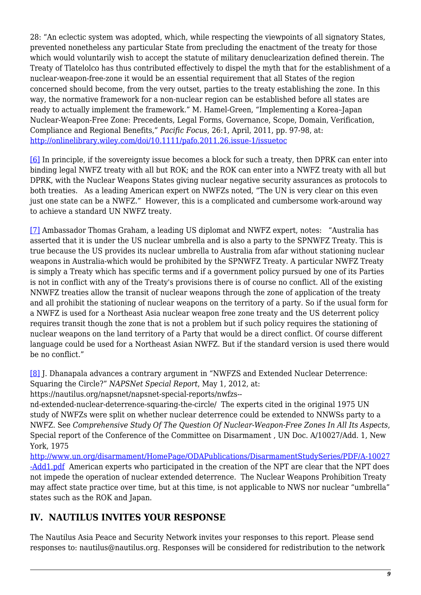28: "An eclectic system was adopted, which, while respecting the viewpoints of all signatory States, prevented nonetheless any particular State from precluding the enactment of the treaty for those which would voluntarily wish to accept the statute of military denuclearization defined therein. The Treaty of Tlatelolco has thus contributed effectively to dispel the myth that for the establishment of a nuclear-weapon-free-zone it would be an essential requirement that all States of the region concerned should become, from the very outset, parties to the treaty establishing the zone. In this way, the normative framework for a non-nuclear region can be established before all states are ready to actually implement the framework." M. Hamel-Green, "Implementing a Korea–Japan Nuclear-Weapon-Free Zone: Precedents, Legal Forms, Governance, Scope, Domain, Verification, Compliance and Regional Benefits," *Pacific Focus*, 26:1, April, 2011, pp. 97-98, at: <http://onlinelibrary.wiley.com/doi/10.1111/pafo.2011.26.issue-1/issuetoc>

<span id="page-8-0"></span>[\[6\]](#page-6-0) In principle, if the sovereignty issue becomes a block for such a treaty, then DPRK can enter into binding legal NWFZ treaty with all but ROK; and the ROK can enter into a NWFZ treaty with all but DPRK, with the Nuclear Weapons States giving nuclear negative security assurances as protocols to both treaties. As a leading American expert on NWFZs noted, "The UN is very clear on this even just one state can be a NWFZ." However, this is a complicated and cumbersome work-around way to achieve a standard UN NWFZ treaty.

<span id="page-8-1"></span>[\[7\]](#page-6-1) Ambassador Thomas Graham, a leading US diplomat and NWFZ expert, notes: "Australia has asserted that it is under the US nuclear umbrella and is also a party to the SPNWFZ Treaty. This is true because the US provides its nuclear umbrella to Australia from afar without stationing nuclear weapons in Australia-which would be prohibited by the SPNWFZ Treaty. A particular NWFZ Treaty is simply a Treaty which has specific terms and if a government policy pursued by one of its Parties is not in conflict with any of the Treaty's provisions there is of course no conflict. All of the existing NNWFZ treaties allow the transit of nuclear weapons through the zone of application of the treaty and all prohibit the stationing of nuclear weapons on the territory of a party. So if the usual form for a NWFZ is used for a Northeast Asia nuclear weapon free zone treaty and the US deterrent policy requires transit though the zone that is not a problem but if such policy requires the stationing of nuclear weapons on the land territory of a Party that would be a direct conflict. Of course different language could be used for a Northeast Asian NWFZ. But if the standard version is used there would be no conflict."

<span id="page-8-2"></span>[\[8\]](#page-6-2) J. Dhanapala advances a contrary argument in "NWFZS and Extended Nuclear Deterrence: Squaring the Circle?" *NAPSNet Special Report*, May 1, 2012, at:

https://nautilus.org/napsnet/napsnet-special-reports/nwfzs--

nd-extended-nuclear-deterrence-squaring-the-circle/ The experts cited in the original 1975 UN study of NWFZs were split on whether nuclear deterrence could be extended to NNWSs party to a NWFZ. See *Comprehensive Study Of The Question Of Nuclear-Weapon-Free Zones In All Its Aspects*, Special report of the Conference of the Committee on Disarmament , UN Doc. A/10027/Add. 1, New York, 1975

[http://www.un.org/disarmament/HomePage/ODAPublications/DisarmamentStudySeries/PDF/A-10027](http://www.un.org/disarmament/HomePage/ODAPublications/DisarmamentStudySeries/PDF/A-10027-Add1.pdf) [-Add1.pdf](http://www.un.org/disarmament/HomePage/ODAPublications/DisarmamentStudySeries/PDF/A-10027-Add1.pdf) American experts who participated in the creation of the NPT are clear that the NPT does not impede the operation of nuclear extended deterrence. The Nuclear Weapons Prohibition Treaty may affect state practice over time, but at this time, is not applicable to NWS nor nuclear "umbrella" states such as the ROK and Japan.

## **IV. NAUTILUS INVITES YOUR RESPONSE**

The Nautilus Asia Peace and Security Network invites your responses to this report. Please send responses to: nautilus@nautilus.org. Responses will be considered for redistribution to the network